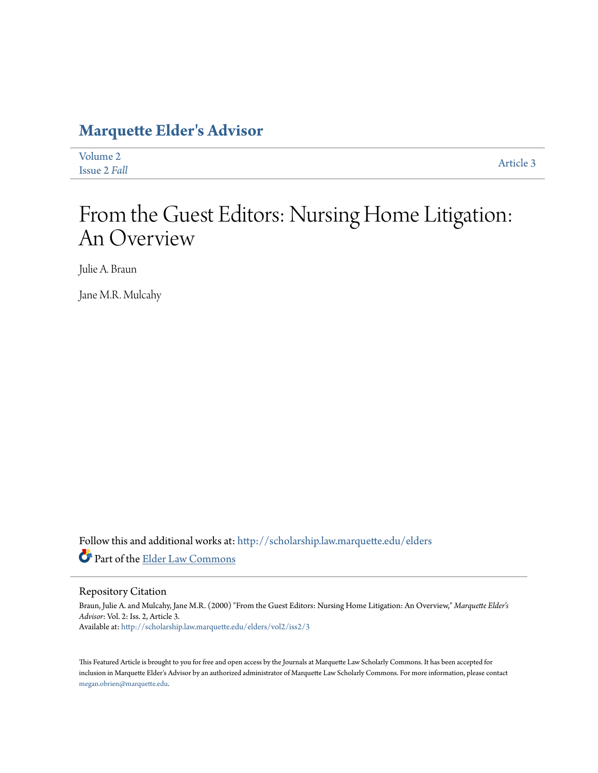# **[Marquette Elder's Advisor](http://scholarship.law.marquette.edu/elders?utm_source=scholarship.law.marquette.edu%2Felders%2Fvol2%2Fiss2%2F3&utm_medium=PDF&utm_campaign=PDFCoverPages)**

| Volume 2     | Article 3 |
|--------------|-----------|
| Issue 2 Fall |           |

# From the Guest Editors: Nursing Home Litigation: An Overview

Julie A. Braun

Jane M.R. Mulcahy

Follow this and additional works at: [http://scholarship.law.marquette.edu/elders](http://scholarship.law.marquette.edu/elders?utm_source=scholarship.law.marquette.edu%2Felders%2Fvol2%2Fiss2%2F3&utm_medium=PDF&utm_campaign=PDFCoverPages) Part of the [Elder Law Commons](http://network.bepress.com/hgg/discipline/842?utm_source=scholarship.law.marquette.edu%2Felders%2Fvol2%2Fiss2%2F3&utm_medium=PDF&utm_campaign=PDFCoverPages)

Repository Citation

Braun, Julie A. and Mulcahy, Jane M.R. (2000) "From the Guest Editors: Nursing Home Litigation: An Overview," *Marquette Elder's Advisor*: Vol. 2: Iss. 2, Article 3. Available at: [http://scholarship.law.marquette.edu/elders/vol2/iss2/3](http://scholarship.law.marquette.edu/elders/vol2/iss2/3?utm_source=scholarship.law.marquette.edu%2Felders%2Fvol2%2Fiss2%2F3&utm_medium=PDF&utm_campaign=PDFCoverPages)

This Featured Article is brought to you for free and open access by the Journals at Marquette Law Scholarly Commons. It has been accepted for inclusion in Marquette Elder's Advisor by an authorized administrator of Marquette Law Scholarly Commons. For more information, please contact [megan.obrien@marquette.edu.](mailto:megan.obrien@marquette.edu)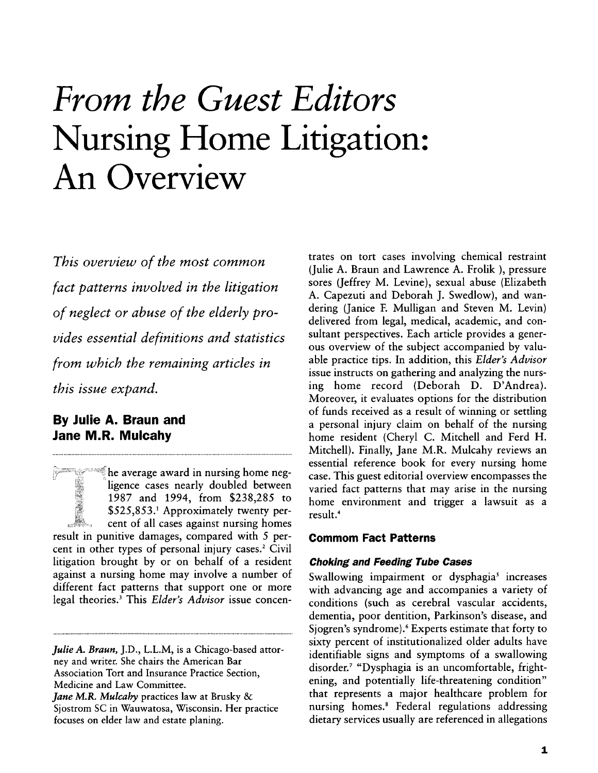# *From the Guest Editors* **Nursing Home Litigation: An Overview**

*This overview of the most common fact patterns involved in the litigation of neglect or abuse of the elderly provides essential definitions and statistics from which the remaining articles in this issue expand.*

# **By Julie A. Braun and Jane M.R. Mulcahy**

he average award in nursing home negligence cases nearly doubled between **1987** and 1994, from \$238,285 to \$525,853.' Approximately twenty percent of all cases against nursing homes result in punitive damages, compared with 5 percent in other types of personal injury cases.<sup>2</sup> Civil litigation brought by or on behalf of a resident against a nursing home may involve a number of different fact patterns that support one or more legal theories. 3 This *Elder's Advisor* issue concentrates on tort cases involving chemical restraint (Julie A. Braun and Lawrence A. Frolik ), pressure sores (Jeffrey M. Levine), sexual abuse (Elizabeth A. Capezuti and Deborah J. Swedlow), and wandering (Janice **E** Mulligan and Steven M. Levin) delivered from legal, medical, academic, and consultant perspectives. Each article provides a generous overview of the subject accompanied by valuable practice tips. In addition, this *Elder's Advisor* issue instructs on gathering and analyzing the nursing home record (Deborah D. D'Andrea). Moreover, it evaluates options for the distribution of funds received as a result of winning or settling a personal injury claim on behalf of the nursing home resident (Cheryl C. Mitchell and Ferd H. Mitchell). Finally, Jane M.R. Mulcahy reviews an essential reference book for every nursing home case. This guest editorial overview encompasses the varied fact patterns that may arise in the nursing home environment and trigger a lawsuit as a result.4

## **Commom Fact Patterns**

#### **Choking and Feeding Tube Cases**

Swallowing impairment or dysphagia' increases with advancing age and accompanies a variety of conditions (such as cerebral vascular accidents, dementia, poor dentition, Parkinson's disease, and Sjogren's syndrome).6 Experts estimate that forty to sixty percent of institutionalized older adults have identifiable signs and symptoms of a swallowing disorder.7 "Dysphagia is an uncomfortable, frightening, and potentially life-threatening condition" that represents a major healthcare problem for nursing homes.' Federal regulations addressing dietary services usually are referenced in allegations

*Julie A. Braun,* J.D., L.L.M, is a Chicago-based attorney and writer. She chairs the American Bar Association Tort and Insurance Practice Section, Medicine and Law Committee.

*Jane M.R. Mulcaby* practices law at Brusky & Sjostrom SC in Wauwatosa, Wisconsin. Her practice focuses on elder law and estate planing.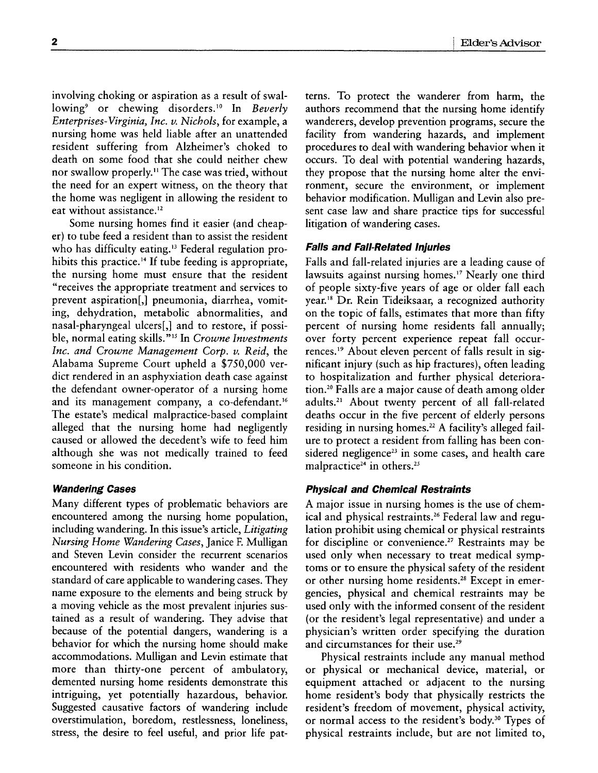involving choking or aspiration as a result of swallowing<sup>9</sup> or chewing disorders.<sup>10</sup> In *Beverly Enterprises-Virginia, Inc.* v. *Nichols,* for example, a nursing home was held liable after an unattended resident suffering from Alzheimer's choked to death on some food that she could neither chew nor swallow properly." The case was tried, without the need for an expert witness, on the theory that the home was negligent in allowing the resident to eat without assistance.<sup>12</sup>

Some nursing homes find it easier (and cheaper) to tube feed a resident than to assist the resident who has difficulty eating.<sup>13</sup> Federal regulation prohibits this practice.<sup>14</sup> If tube feeding is appropriate, the nursing home must ensure that the resident "receives the appropriate treatment and services to prevent aspiration[,] pneumonia, diarrhea, vomiting, dehydration, metabolic abnormalities, and nasal-pharyngeal ulcers[,] and to restore, if possible, normal eating skills."'" In *Crowne Investments Inc. and Crowne Management Corp. v. Reid,* the Alabama Supreme Court upheld a \$750,000 verdict rendered in an asphyxiation death case against the defendant owner-operator of a nursing home and its management company, a co-defendant.<sup>16</sup> The estate's medical malpractice-based complaint alleged that the nursing home had negligently caused or allowed the decedent's wife to feed him although she was not medically trained to feed someone in his condition.

# **Wandering Cases**

Many different types of problematic behaviors are encountered among the nursing home population, including wandering. In this issue's article, *Litigating Nursing Home Wandering Cases,* Janice F Mulligan and Steven Levin consider the recurrent scenarios encountered with residents who wander and the standard of care applicable to wandering cases. They name exposure to the elements and being struck by a moving vehicle as the most prevalent injuries sustained as a result of wandering. They advise that because of the potential dangers, wandering is a behavior for which the nursing home should make accommodations. Mulligan and Levin estimate that more than thirty-one percent of ambulatory, demented nursing home residents demonstrate this intriguing, yet potentially hazardous, behavior. Suggested causative factors of wandering include overstimulation, boredom, restlessness, loneliness, stress, the desire to feel useful, and prior life patterns. To protect the wanderer from harm, the authors recommend that the nursing home identify wanderers, develop prevention programs, secure the facility from wandering hazards, and implement procedures to deal with wandering behavior when it occurs. To deal with potential wandering hazards, they propose that the nursing home alter the environment, secure the environment, or implement behavior modification. Mulligan and Levin also present case law and share practice tips for successful litigation of wandering cases.

# **Falls and Fall-Related Injuries**

Falls and fall-related injuries are a leading cause of lawsuits against nursing homes.<sup>17</sup> Nearly one third of people sixty-five years of age or older fall each year.'8 Dr. Rein Tideiksaar, a recognized authority on the topic of falls, estimates that more than fifty percent of nursing home residents fall annually; over forty percent experience repeat fall occurrences.<sup>19</sup> About eleven percent of falls result in significant injury (such as hip fractures), often leading to hospitalization and further physical deterioration.<sup>20</sup> Falls are a major cause of death among older adults.2' About twenty percent of all fall-related deaths occur in the five percent of elderly persons residing in nursing homes. <sup>22</sup>**A** facility's alleged failure to protect a resident from falling has been considered negligence<sup>23</sup> in some cases, and health care malpractice<sup>24</sup> in others.<sup>25</sup>

# **Physical and Chemical Restraints**

A major issue in nursing homes is the use of chemical and physical restraints.<sup>26</sup> Federal law and regulation prohibit using chemical or physical restraints for discipline or convenience.<sup>27</sup> Restraints may be used only when necessary to treat medical symptoms or to ensure the physical safety of the resident or other nursing home residents.<sup>28</sup> Except in emergencies, physical and chemical restraints may be used only with the informed consent of the resident (or the resident's legal representative) and under a physician's written order specifying the duration and circumstances for their use.<sup>29</sup>

Physical restraints include any manual method or physical or mechanical device, material, or equipment attached or adjacent to the nursing home resident's body that physically restricts the resident's freedom of movement, physical activity, or normal access to the resident's body.<sup>30</sup> Types of physical restraints include, but are not limited to,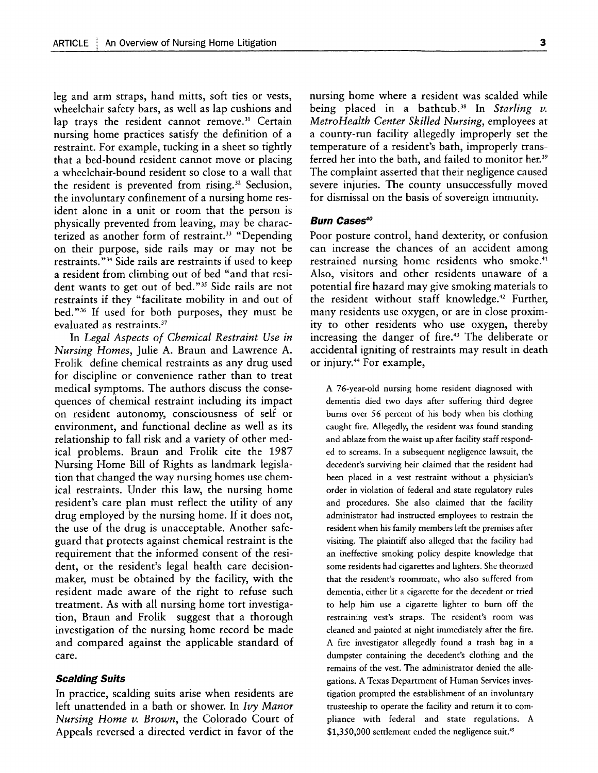leg and arm straps, hand mitts, soft ties or vests, wheelchair safety bars, as well as lap cushions and lap trays the resident cannot remove.<sup>31</sup> Certain nursing home practices satisfy the definition of a restraint. For example, tucking in a sheet so tightly that a bed-bound resident cannot move or placing a wheelchair-bound resident so close to a wall that the resident is prevented from rising.<sup>32</sup> Seclusion, the involuntary confinement of a nursing home resident alone in a unit or room that the person is physically prevented from leaving, may be characterized as another form of restraint.<sup>33</sup> "Depending on their purpose, side rails may or may not be restraints."<sup>34</sup> Side rails are restraints if used to keep a resident from climbing out of bed "and that resident wants to get out of bed."<sup>35</sup> Side rails are not restraints if they "facilitate mobility in and out of bed."36 If used for both purposes, they must be evaluated as restraints.37

In *Legal Aspects of Chemical Restraint Use in Nursing Homes,* Julie A. Braun and Lawrence A. Frolik define chemical restraints as any drug used for discipline or convenience rather than to treat medical symptoms. The authors discuss the consequences of chemical restraint including its impact on resident autonomy, consciousness of self or environment, and functional decline as well as its relationship to fall risk and a variety of other medical problems. Braun and Frolik cite the 1987 Nursing Home Bill of Rights as landmark legislation that changed the way nursing homes use chemical restraints. Under this law, the nursing home resident's care plan must reflect the utility of any drug employed by the nursing home. If it does not, the use of the drug is unacceptable. Another safeguard that protects against chemical restraint is the requirement that the informed consent of the resident, or the resident's legal health care decisionmaker, must be obtained by the facility, with the resident made aware of the right to refuse such treatment. As with all nursing home tort investigation, Braun and Frolik suggest that a thorough investigation of the nursing home record be made and compared against the applicable standard of care.

#### **Scalding Suits**

In practice, scalding suits arise when residents are left unattended in a bath or shower. In *Ivy Manor Nursing Home v. Brown,* the Colorado Court of Appeals reversed a directed verdict in favor of the

nursing home where a resident was scalded while being placed in a bathtub.38 In *Starling v. MetroHealth Center Skilled Nursing,* employees at a county-run facility allegedly improperly set the temperature of a resident's bath, improperly transferred her into the bath, and failed to monitor her.<sup>39</sup> The complaint asserted that their negligence caused severe injuries. The county unsuccessfully moved for dismissal on the basis of sovereign immunity.

#### **Burn Cases<sup>40</sup>**

Poor posture control, hand dexterity, or confusion can increase the chances of an accident among restrained nursing home residents who smoke.<sup>41</sup> Also, visitors and other residents unaware of a potential fire hazard may give smoking materials to the resident without staff knowledge.<sup>42</sup> Further, many residents use oxygen, or are in close proximity to other residents who use oxygen, thereby increasing the danger of fire.<sup>43</sup> The deliberate or accidental igniting of restraints may result in death or injury.<sup>44</sup> For example,

A 76-year-old nursing home resident diagnosed with dementia died two days after suffering third degree burns over 56 percent of his body when his clothing caught fire. Allegedly, the resident was found standing and ablaze from the waist up after facility staff responded to screams. In a subsequent negligence lawsuit, the decedent's surviving heir claimed that the resident had been placed in a vest restraint without a physician's order in violation of federal and state regulatory rules and procedures. She also claimed that the facility administrator had instructed employees to restrain the resident when his family members left the premises after visiting. The plaintiff also alleged that the facility had an ineffective smoking policy despite knowledge that some residents had cigarettes and lighters. She theorized that the resident's roommate, who also suffered from dementia, either lit a cigarette for the decedent or tried to help him use a cigarette lighter to burn off the restraining vest's straps. The resident's room was cleaned and painted at night immediately after the fire. A fire investigator allegedly found a trash bag in a dumpster containing the decedent's clothing and the remains of the vest. The administrator denied the allegations. A Texas Department of Human Services investigation prompted the establishment of an involuntary trusteeship to operate the facility and return it to compliance with federal and state regulations. A \$1,350,000 settlement ended the negligence suit.<sup>45</sup>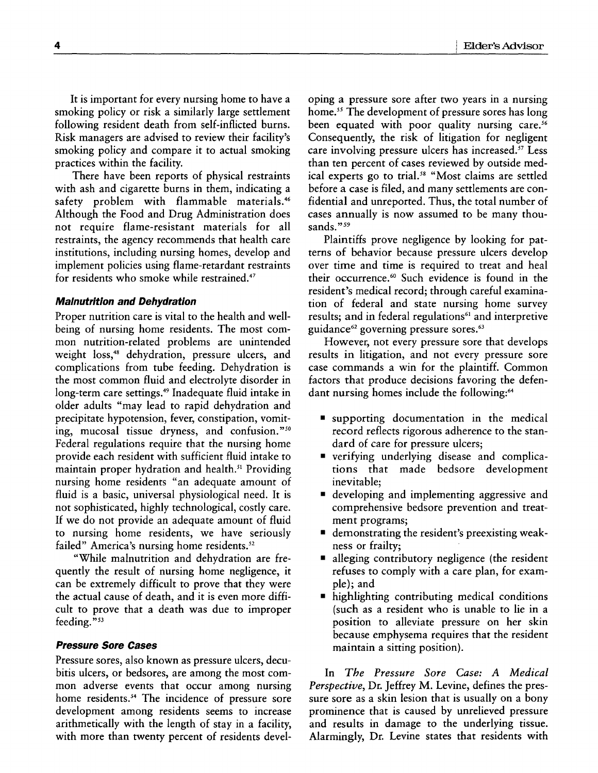It is important for every nursing home to have a smoking policy or risk a similarly large settlement following resident death from self-inflicted burns. Risk managers are advised to review their facility's smoking policy and compare it to actual smoking practices within the facility.

There have been reports of physical restraints with ash and cigarette burns in them, indicating a safety problem with flammable materials.<sup>46</sup> Although the Food and Drug Administration does not require flame-resistant materials for all restraints, the agency recommends that health care institutions, including nursing homes, develop and implement policies using flame-retardant restraints for residents who smoke while restrained.47

#### **Malnutrition and Dehydration**

Proper nutrition care is vital to the health and wellbeing of nursing home residents. The most common nutrition-related problems are unintended weight loss,<sup>48</sup> dehydration, pressure ulcers, and complications from tube feeding. Dehydration is the most common fluid and electrolyte disorder in long-term care settings.<sup>49</sup> Inadequate fluid intake in older adults "may lead to rapid dehydration and precipitate hypotension, fever, constipation, vomiting, mucosal tissue dryness, and confusion."<sup>50</sup> Federal regulations require that the nursing home provide each resident with sufficient fluid intake to maintain proper hydration and health.<sup>51</sup> Providing nursing home residents "an adequate amount of fluid is a basic, universal physiological need. It is not sophisticated, **highly** technological, costly care. **If** we do not provide an adequate amount of fluid to nursing home residents, we have seriously failed" America's nursing home residents.<sup>52</sup>

"While malnutrition and dehydration are frequently the result of nursing home negligence, it can be extremely difficult to prove that they were the actual cause of death, and it is even more difficult to prove that a death was due to improper feeding."<sup>53</sup>

#### **Pressure Sore Cases**

Pressure sores, also known as pressure ulcers, decubitis ulcers, or bedsores, are among the most common adverse events that occur among nursing home residents.<sup>54</sup> The incidence of pressure sore development among residents seems to increase arithmetically with the length of stay in a facility, with more than twenty percent of residents devel-

oping a pressure sore after two years in a nursing home.<sup>55</sup> The development of pressure sores has long been equated with poor quality nursing care.<sup>56</sup> Consequently, the risk of litigation for negligent care involving pressure ulcers has increased.<sup>57</sup> Less than ten percent of cases reviewed by outside medical experts go to trial.<sup>58</sup> "Most claims are settled before a case is filed, and many settlements are confidential and unreported. Thus, the total number of cases annually is now assumed to be many thousands."<sup>59</sup>

Plaintiffs prove negligence by looking for patterns of behavior because pressure ulcers develop over time and time is required to treat and heal their occurrence.<sup>60</sup> Such evidence is found in the resident's medical record; through careful examination of federal and state nursing home survey results; and in federal regulations<sup>61</sup> and interpretive guidance<sup>62</sup> governing pressure sores.<sup>63</sup>

However, not every pressure sore that develops results in litigation, and not every pressure sore case commands a win for the plaintiff. Common factors that produce decisions favoring the defendant nursing homes include the following:<sup>64</sup>

- **"** supporting documentation in the medical record reflects rigorous adherence to the standard of care for pressure ulcers;
- **"** verifying underlying disease and complications that made bedsore development inevitable;
- **"** developing and implementing aggressive and comprehensive bedsore prevention and treatment programs;
- $\blacksquare$  demonstrating the resident's preexisting weakness or frailty;
- alleging contributory negligence (the resident refuses to comply with a care plan, for example); and
- $\blacksquare$  highlighting contributing medical conditions (such as a resident who is unable to lie in a position to alleviate pressure on her skin because emphysema requires that the resident maintain a sitting position).

In *The Pressure Sore Case: A Medical Perspective,* Dr. Jeffrey M. Levine, defines the pressure sore as a skin lesion that is usually on a bony prominence that is caused by unrelieved pressure and results in damage to the underlying tissue. Alarmingly, Dr. Levine states that residents with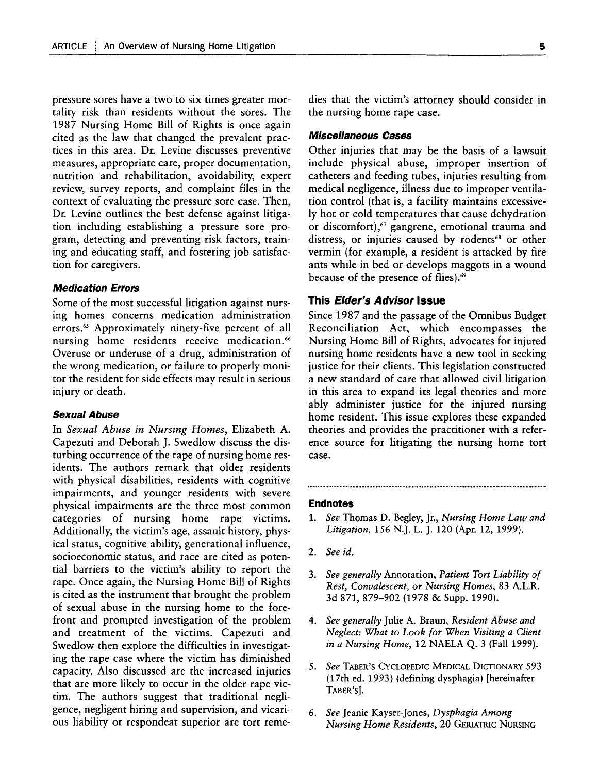pressure sores have a two to six times greater mortality risk than residents without the sores. The 1987 Nursing Home Bill of Rights is once again cited as the law that changed the prevalent practices in this area. Dr. Levine discusses preventive measures, appropriate care, proper documentation, nutrition and rehabilitation, avoidability, expert review, survey reports, and complaint files in the context of evaluating the pressure sore case. Then, Dr. Levine outlines the best defense against litigation including establishing a pressure sore program, detecting and preventing risk factors, training and educating staff, and fostering job satisfaction for caregivers.

#### **Medication Errors**

Some of the most successful litigation against nursing homes concerns medication administration errors." Approximately ninety-five percent of all nursing home residents receive medication.<sup>66</sup> Overuse or underuse of a drug, administration of the wrong medication, or failure to properly monitor the resident for side effects may result in serious injury or death.

#### **Sexual Abuse**

In *Sexual Abuse in Nursing Homes,* Elizabeth **A.** Capezuti and Deborah **J.** Swedlow discuss the disturbing occurrence of the rape of nursing home residents. The authors remark that older residents with physical disabilities, residents with cognitive impairments, and younger residents with severe physical impairments are the three most common categories of nursing home rape victims. Additionally, the victim's age, assault history, physical status, cognitive ability, generational influence, socioeconomic status, and race are cited as potential barriers to the victim's ability to report the rape. Once again, the Nursing Home Bill of Rights is cited as the instrument that brought the problem of sexual abuse in the nursing home to the forefront and prompted investigation of the problem and treatment of the victims. Capezuti and Swedlow then explore the difficulties in investigating the rape case where the victim has diminished capacity. Also discussed are the increased injuries that are more likely to occur in the older rape victim. The authors suggest that traditional negligence, negligent hiring and supervision, and vicarious liability or respondeat superior are tort remedies that the victim's attorney should consider in the nursing home rape case.

### **Miscellaneous Cases**

Other injuries that may be the basis of a lawsuit include physical abuse, improper insertion of catheters and feeding tubes, injuries resulting from medical negligence, illness due to improper ventilation control (that is, a facility maintains excessive**ly** hot or cold temperatures that cause dehydration or discomfort),<sup>67</sup> gangrene, emotional trauma and distress, or injuries caused by rodents<sup>68</sup> or other vermin (for example, a resident is attacked by fire ants while in bed or develops maggots in a wound because of the presence of flies).<sup>69</sup>

#### **This Elder's Advisor Issue**

Since **1987** and the passage of the Omnibus Budget Reconciliation Act, which encompasses the Nursing Home Bill of Rights, advocates for injured nursing home residents have a new tool in seeking justice for their clients. This legislation constructed a new standard of care that allowed civil litigation in this area to expand its legal theories and more ably administer justice for the injured nursing home resident. This issue explores these expanded theories and provides the practitioner with a reference source for litigating the nursing home tort case.

#### **Endnotes**

- **1.** *See* Thomas **D.** Begley, Jr., *Nursing Home Law and Litigation, 156* **N.J.** L. **J.** 120 (Apr. 12, **1999).**
- 2. *See id.*
- **3.** *See generally* Annotation, *Patient Tort Liability of Rest, Convalescent, or Nursing Homes,* **83** A.L.R. **3d 871, 879-902 (1978 &** Supp. **1990).**
- *4. See generally* Julie **A.** Braun, *Resident Abuse and Neglect: What to Look for When Visiting a Client in a Nursing Home,* 12 **NAELA Q. 3** (Fall **1999).**
- *5. See* TABER'S CYCLOPEDIC MEDICAL DIcTIONARY *593* (17th ed. 1993) (defining dysphagia) [hereinafter TABER's].
- **6.** *See* Jeanie Kayser-Jones, *Dysphagia Among Nursing Home Residents,* 20 GERIATRIC NURSING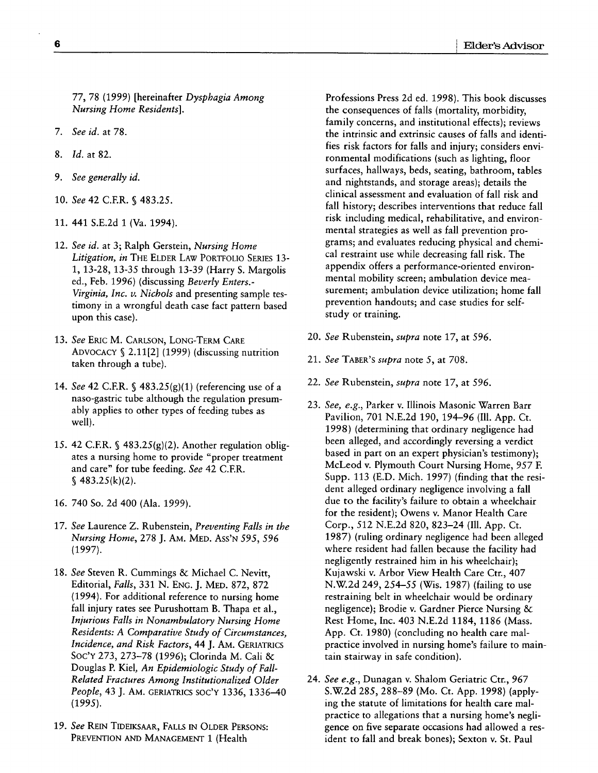**77, 78 (1999)** [hereinafter *Dysphagia Among Nursing Home Residents].*

- *7. See id.* at **78.**
- **8.** *Id.* at **82.**
- *9. See generally id.*
- **10.** *See* 42 C.F.R. § **483.25.**
- **11.** 441 **S.E.2d 1** (Va. 1994).
- 12. *See id.* at **3;** Ralph Gerstein, *Nursing Home Litigation, in* THE ELDER LAW PORTFOLIO **SERIES 13- 1, 13-28, 13-35** through **13-39** (Harry **S.** Margolis ed., Feb. **1996)** (discussing *Beverly Enters.- Virginia, Inc. v. Nichols* and presenting sample testimony in a wrongful death case fact pattern based upon this case).
- **13.** *See* ERIC M. CARLSON, LONG-TERM CARE ADVOCACY **S** 2.11[2] (1999) (discussing nutrition taken through a tube).
- 14. *See* 42 C.F.R. § 483.25(g)(1) (referencing use of a naso-gastric tube although the regulation presumably applies to other types of feeding tubes as well).
- *15.* 42 C.F.R. § <sup>4</sup> 83.25(g)(2). Another regulation obligates a nursing home to provide "proper treatment and care" for tube feeding. *See* 42 C.ER. § **483.25(k)(2).**
- **16.** 740 So. **2d** 400 (Ala. **1999).**
- **17.** *See* Laurence Z. Rubenstein, *Preventing Falls in the Nursing Home,* **278 J.** AM. MED. ASS'N *595, 596* **(1997).**
- **18.** *See* Steven R. Cummings **&** Michael **C.** Nevitt, Editorial, *Falls,* **331 N. ENG. J.** MED. **872, 872** (1994). For additional reference to nursing home fall injury rates see Purushottam B. Thapa et al., *Injurious Falls in Nonambulatory Nursing Home Residents: A Comparative Study of Circumstances, Incidence, and Risk Factors,* 44 **J.** AM. **GERIATRICS** Soc'Y **273, 273-78 (1996);** Clorinda M. Cali **&** Douglas P. Kiel, *An Epidemiologic Study of Fall-Related Fractures Among Institutionalized Older People,* 43 **J.** AM. GERIATRICS **SOC'Y 1336,** 1336-40 **(1995).**
- 19. See REIN TIDEIKSAAR, FALLS IN OLDER PERSONS: PREVENTION AND MANAGEMENT **1** (Health

Professions Press 2d ed. **1998).** This book discusses the consequences of falls (mortality, morbidity, family concerns, and institutional effects); reviews the intrinsic and extrinsic causes of falls and identifies risk factors for falls and injury; considers environmental modifications (such as lighting, floor surfaces, hallways, beds, seating, bathroom, tables and nightstands, and storage areas); details the clinical assessment and evaluation of fall risk and fall history; describes interventions that reduce fall risk including medical, rehabilitative, and environmental strategies as well as fall prevention programs; and evaluates reducing physical and chemical restraint use while decreasing fall risk. The appendix offers a performance-oriented environmental mobility screen; ambulation device measurement; ambulation device utilization; home fall prevention handouts; and case studies for selfstudy or training.

- 20. *See* Rubenstein, *supra* note **17,** at 596.
- 21. *See* TABER'S *supra* note **5,** at **708.**
- 22. *See* Rubenstein, *supra* note **17,** at *596.*
- **23.** *See, e.g.,* Parker v. Illinois Masonic Warren Barr Pavilion, **701 N.E.2d 190,** 194-96 **(Ill. App.** Ct. **1998)** (determining that ordinary negligence had been alleged, and accordingly reversing a verdict based in part on an expert physician's testimony); McLeod v. Plymouth Court Nursing Home, 957 **E** Supp. **113 (E.D.** Mich. **1997)** (finding that the resident alleged ordinary negligence involving a fall due to the facility's failure to obtain a wheelchair for the resident); Owens v. Manor Health Care Corp., **512 N.E.2d 820,** 823-24 **(Ill. App.** Ct. **1987)** (ruling ordinary negligence had been alleged where resident had fallen because the facility had negligently restrained him in his wheelchair); Kujawski v. Arbor View Health Care Ctr., 407 **N.W.2d** 249, 254-55 (Wis. **1987)** (failing to use restraining belt in wheelchair would be ordinary negligence); Brodie v. Gardner Pierce Nursing **&** Rest Home, Inc. 403 **N.E.2d 1184, 1186** (Mass. **App.** Ct. **1980)** (concluding no health care malpractice involved in nursing home's failure to maintain stairway in safe condition).
- 24. *See e.g.,* Dunagan v. Shalom Geriatric Ctr., 967 **S.W2d** 285, 288-89 (Mo. Ct. App. 1998) (applying the statute of limitations for health care malpractice to allegations that a nursing home's negligence on five separate occasions had allowed a resident to fall and break bones); Sexton v. St. Paul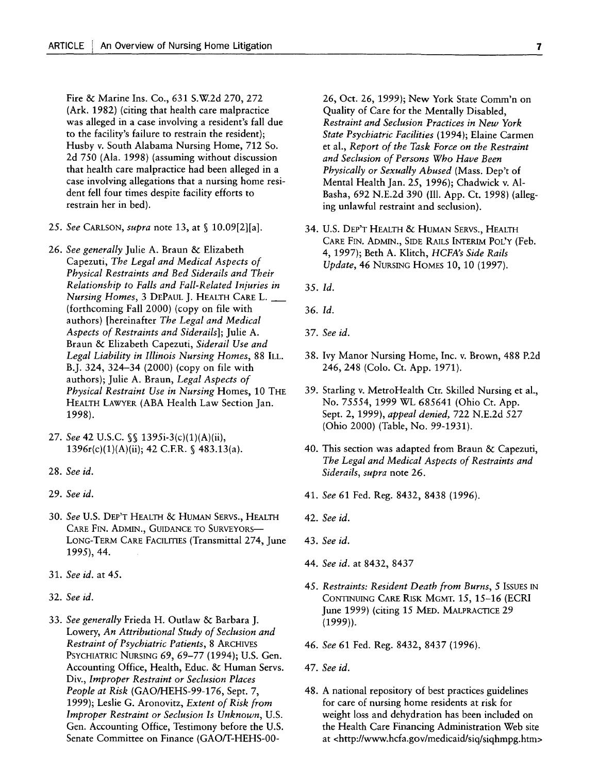Fire **&** Marine Ins. Co., 631 S.W2d 270, 272 (Ark. **1982)** (citing that health care malpractice was alleged in a case involving a resident's fall due to the facility's failure to restrain the resident); Husby v. South Alabama Nursing Home, **712** So. **2d** 750 (Ala. **1998)** (assuming without discussion that health care malpractice had been alleged in a case involving allegations that a nursing home resident fell four times despite facility efforts to restrain her in bed).

- **25.** *See* **CARLSON,** *supra* note **13,** at § 10.09[2][a].
- **26.** *See generally* Julie **A.** Braun **&** Elizabeth Capezuti, *The Legal and Medical Aspects of Physical Restraints and Bed Siderails and Their Relationship to Falls and Fall-Related Injuries in Nursing Homes, 3 DEPAUL J. HEALTH CARE L.* (forthcoming Fall 2000) (copy on file with authors) [hereinafter *The Legal and Medical Aspects of Restraints and Siderails];* Julie **A.** Braun **&** Elizabeth Capezuti, *Siderail Use and Legal Liability in Illinois Nursing Homes,* **88** ILL. B.J. 324, 324-34 (2000) (copy on file with authors); Julie **A.** Braun, *Legal Aspects of Physical Restraint Use in Nursing* Homes, **10** THE HEALTH LAWYER **(ABA** Health Law Section Jan. **1998).**
- **27.** *See* 42 **U.S.C. SS** 1395i-3(c)(1)(A)(ii), 1396r(c)(1)(A)(ii); 42 C.F.R. § 483.13(a).
- **28.** *See id.*
- *29. See id.*
- **30.** *See* U.S. DEP'T HEALTH **&** HUMAN SERVS., HEALTH CARE FIN. **ADMIN.,** GUIDANCE TO SURVEYORS-LONG-TERM CARE FACILITIES (Transmittal 274, June 1995), 44.
- 31. *See id.* at 45.
- **32.** *See id.*
- 33. *See generally* Frieda H. Outlaw & Barbara J. Lowery, *An Attributional Study of Seclusion and Restraint of Psychiatric Patients,* 8 ARCHIVES PSYCHIATRIC NURSING **69, 69-77** (1994); U.S. Gen. Accounting Office, Health, Educ. & Human Servs. Div., *Improper Restraint or Seclusion Places People at Risk* (GAO/HEHS-99-176, Sept. 7, **1999);** Leslie G. Aronovitz, *Extent of Risk from Improper Restraint or Seclusion Is Unknown,* U.S. Gen. Accounting Office, Testimony before the U.S. Senate Committee on Finance (GAO/T-HEHS-00-

**26,** Oct. **26, 1999);** New York State Comm'n on Quality of Care for the Mentally Disabled, *Restraint and Seclusion Practices in New York State Psychiatric Facilities* (1994); Elaine Carmen et al., *Report of the Task Force on the Restraint and Seclusion of Persons Who Have Been Physically or Sexually Abused* (Mass. Dep't of Mental Health Jan. **25, 1996);** Chadwick v. **Al-**Basha, 692 **N.E.2d 390 (Ill. App.** Ct. **1998)** (alleging unlawful restraint and seclusion).

- 34. U.S. DEP'T HEALTH **&** HUMAN SERVS., HEALTH CARE FIN. ADMIN., SIDE **RAILS** INTERIM POL'Y (Feb. 4, 1997); Beth A. Klitch, *HCFA's Side Rails Update,* 46 NURSING HOMES **10, 10** (1997).
- **35.** *Id.*
- **36.** *Id.*
- **37.** *See id.*
- **38.** Ivy Manor Nursing Home, Inc. v. Brown, **488 P.2d** 246, 248 (Colo. Ct. **App. 1971).**
- **39.** Starling v. MetroHealth Ctr. Skilled Nursing et al., No. 75554, 1999 WL 685641 (Ohio Ct. **App.** Sept. 2, **1999),** *appeal denied,* 722 **N.E.2d** 527 (Ohio 2000) (Table, No. **99-1931).**
- 40. This section was adapted from Braun **&** Capezuti, *The Legal and Medical Aspects of Restraints and Siderails, supra* note **26.**
- 41. *See* **61** Fed. Reg. 8432, **8438 (1996).**
- 42. *See id.*
- 43. *See id.*
- 44. *See id.* at 8432, **8437**
- 45. *Restraints: Resident Death from Burns, 5* ISSUES IN CONTINUING CARE RISK MGMT. *15,* **15-16** (ECRI June 1999) (citing 15 MED. MALPRACTICE 29 (1999)).
- 46. *See* **61** Fed. Reg. 8432, **8437 (1996).**
- 47. *See id.*
- 48. **A** national repository of best practices guidelines for care of nursing home residents at risk for weight loss and dehydration has been included on the Health Care Financing Administration Web site at <http://www.hcfa.gov/medicaid/siq/siqhmpg.htm>